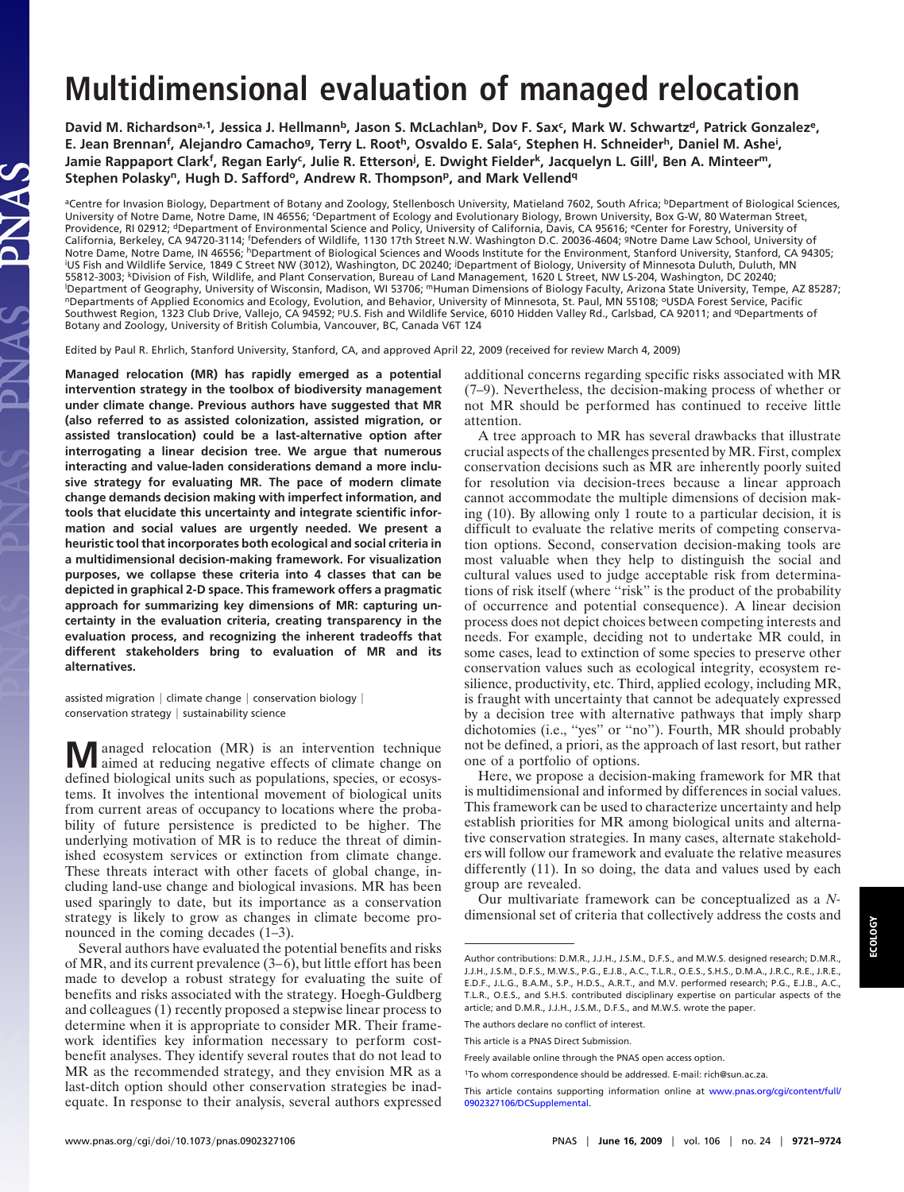## **Multidimensional evaluation of managed relocation**

David M. Richardson<sup>a, 1</sup>, Jessica J. Hellmann<sup>b</sup>, Jason S. McLachlan<sup>b</sup>, Dov F. Sax<sup>c</sup>, Mark W. Schwartz<sup>d</sup>, Patrick Gonzalez<sup>e</sup>, E. Jean Brennan<sup>f</sup>, Alejandro Camacho<sup>g</sup>, Terry L. Root<sup>h</sup>, Osvaldo E. Sala<sup>c</sup>, Stephen H. Schneider<sup>h</sup>, Daniel M. Ashe<sup>i</sup>, Jamie Rappaport Clark<sup>f</sup>, Regan Early<sup>c</sup>, Julie R. Etterson<sup>j</sup>, E. Dwight Fielder<sup>k</sup>, Jacquelyn L. Gill<sup>ı</sup>, Ben A. Minteer<sup>m</sup>, Stephen Polasky<sup>n</sup>, Hugh D. Safford<sup>o</sup>, Andrew R. Thompson<sup>p</sup>, and Mark Vellend<sup>q</sup>

aCentre for Invasion Biology, Department of Botany and Zoology, Stellenbosch University, Matieland 7602, South Africa; bDepartment of Biological Sciences, University of Notre Dame, Notre Dame, IN 46556; 'Department of Ecology and Evolutionary Biology, Brown University, Box G-W, 80 Waterman Street,<br>Providence, RI 02912; <sup>d</sup>Department of Environmental Science and Policy, Unive California, Berkeley, CA 94720-3114; <sup>f</sup>Defenders of Wildlife, 1130 17th Street N.W. Washington D.C. 20036-4604; <sup>g</sup>Notre Dame Law School, University of Notre Dame, Notre Dame, IN 46556; <sup>h</sup>Department of Biological Sciences and Woods Institute for the Environment, Stanford University, Stanford, CA 94305; i US Fish and Wildlife Service, 1849 C Street NW (3012), Washington, DC 20240; <sup>j</sup> Department of Biology, University of Minnesota Duluth, Duluth, MN 55812-3003; <sup>k</sup>Division of Fish, Wildlife, and Plant Conservation, Bureau of Land Management, 1620 L Street, NW LS-204, Washington, DC 20240; l Department of Geography, University of Wisconsin, Madison, WI 53706; mHuman Dimensions of Biology Faculty, Arizona State University, Tempe, AZ 85287; nDepartments of Applied Economics and Ecology, Evolution, and Behavior, University of Minnesota, St. Paul, MN 55108; °USDA Forest Service, Pacific Southwest Region, 1323 Club Drive, Vallejo, CA 94592; pU.S. Fish and Wildlife Service, 6010 Hidden Valley Rd., Carlsbad, CA 92011; and qDepartments of Botany and Zoology, University of British Columbia, Vancouver, BC, Canada V6T 1Z4

Edited by Paul R. Ehrlich, Stanford University, Stanford, CA, and approved April 22, 2009 (received for review March 4, 2009)

**Managed relocation (MR) has rapidly emerged as a potential intervention strategy in the toolbox of biodiversity management under climate change. Previous authors have suggested that MR (also referred to as assisted colonization, assisted migration, or assisted translocation) could be a last-alternative option after interrogating a linear decision tree. We argue that numerous interacting and value-laden considerations demand a more inclusive strategy for evaluating MR. The pace of modern climate change demands decision making with imperfect information, and tools that elucidate this uncertainty and integrate scientific information and social values are urgently needed. We present a heuristic tool that incorporates both ecological and social criteria in a multidimensional decision-making framework. For visualization purposes, we collapse these criteria into 4 classes that can be depicted in graphical 2-D space. This framework offers a pragmatic approach for summarizing key dimensions of MR: capturing uncertainty in the evaluation criteria, creating transparency in the evaluation process, and recognizing the inherent tradeoffs that different stakeholders bring to evaluation of MR and its alternatives.**

assisted migration  $|$  climate change  $|$  conservation biology  $|$  $conservation$  strategy  $|$  sustainability science

**M** anaged relocation (MR) is an intervention technique aimed at reducing negative effects of climate change on defined biological units such as populations, species, or ecosystems. It involves the intentional movement of biological units from current areas of occupancy to locations where the probability of future persistence is predicted to be higher. The underlying motivation of MR is to reduce the threat of diminished ecosystem services or extinction from climate change. These threats interact with other facets of global change, including land-use change and biological invasions. MR has been used sparingly to date, but its importance as a conservation strategy is likely to grow as changes in climate become pronounced in the coming decades (1–3).

Several authors have evaluated the potential benefits and risks of MR, and its current prevalence (3–6), but little effort has been made to develop a robust strategy for evaluating the suite of benefits and risks associated with the strategy. Hoegh-Guldberg and colleagues (1) recently proposed a stepwise linear process to determine when it is appropriate to consider MR. Their framework identifies key information necessary to perform costbenefit analyses. They identify several routes that do not lead to MR as the recommended strategy, and they envision MR as a last-ditch option should other conservation strategies be inadequate. In response to their analysis, several authors expressed

additional concerns regarding specific risks associated with MR (7–9). Nevertheless, the decision-making process of whether or not MR should be performed has continued to receive little attention.

A tree approach to MR has several drawbacks that illustrate crucial aspects of the challenges presented by MR. First, complex conservation decisions such as MR are inherently poorly suited for resolution via decision-trees because a linear approach cannot accommodate the multiple dimensions of decision making (10). By allowing only 1 route to a particular decision, it is difficult to evaluate the relative merits of competing conservation options. Second, conservation decision-making tools are most valuable when they help to distinguish the social and cultural values used to judge acceptable risk from determinations of risk itself (where ''risk'' is the product of the probability of occurrence and potential consequence). A linear decision process does not depict choices between competing interests and needs. For example, deciding not to undertake MR could, in some cases, lead to extinction of some species to preserve other conservation values such as ecological integrity, ecosystem resilience, productivity, etc. Third, applied ecology, including MR, is fraught with uncertainty that cannot be adequately expressed by a decision tree with alternative pathways that imply sharp dichotomies (i.e., ''yes'' or ''no''). Fourth, MR should probably not be defined, a priori, as the approach of last resort, but rather one of a portfolio of options.

Here, we propose a decision-making framework for MR that is multidimensional and informed by differences in social values. This framework can be used to characterize uncertainty and help establish priorities for MR among biological units and alternative conservation strategies. In many cases, alternate stakeholders will follow our framework and evaluate the relative measures differently (11). In so doing, the data and values used by each group are revealed.

Our multivariate framework can be conceptualized as a *N*dimensional set of criteria that collectively address the costs and

The authors declare no conflict of interest.

Author contributions: D.M.R., J.J.H., J.S.M., D.F.S., and M.W.S. designed research; D.M.R., J.J.H., J.S.M., D.F.S., M.W.S., P.G., E.J.B., A.C., T.L.R., O.E.S., S.H.S., D.M.A., J.R.C., R.E., J.R.E., E.D.F., J.L.G., B.A.M., S.P., H.D.S., A.R.T., and M.V. performed research; P.G., E.J.B., A.C., T.L.R., O.E.S., and S.H.S. contributed disciplinary expertise on particular aspects of the article; and D.M.R., J.J.H., J.S.M., D.F.S., and M.W.S. wrote the paper.

This article is a PNAS Direct Submission.

Freely available online through the PNAS open access option.

<sup>1</sup>To whom correspondence should be addressed. E-mail: rich@sun.ac.za.

This article contains supporting information online at [www.pnas.org/cgi/content/full/](http://www.pnas.org/cgi/content/full/0902327106/DCSupplemental) [0902327106/DCSupplemental.](http://www.pnas.org/cgi/content/full/0902327106/DCSupplemental)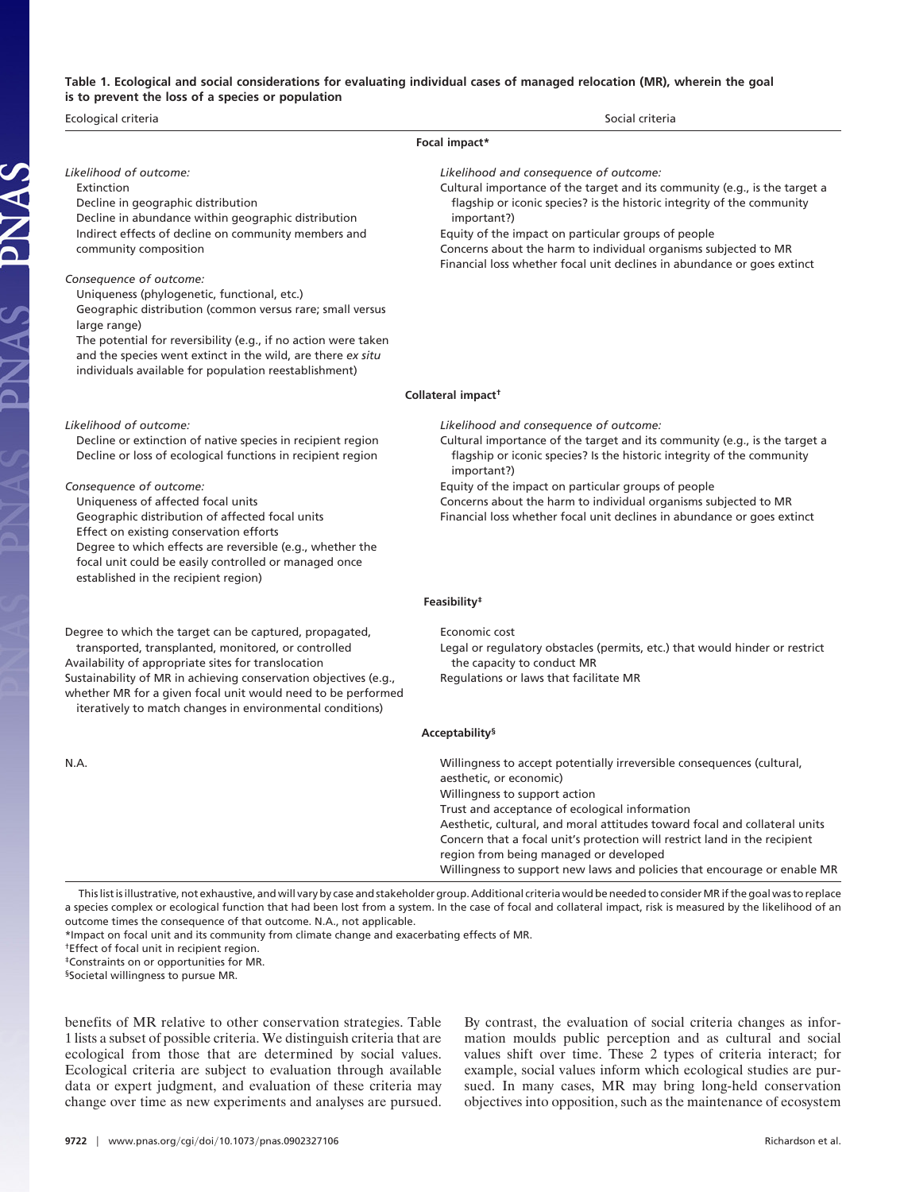## **Table 1. Ecological and social considerations for evaluating individual cases of managed relocation (MR), wherein the goal is to prevent the loss of a species or population**

| Social criteria                                                                                                                                                                                                                                                                                                                                                                                                                                                        |
|------------------------------------------------------------------------------------------------------------------------------------------------------------------------------------------------------------------------------------------------------------------------------------------------------------------------------------------------------------------------------------------------------------------------------------------------------------------------|
| Focal impact*                                                                                                                                                                                                                                                                                                                                                                                                                                                          |
| Likelihood and consequence of outcome:<br>Cultural importance of the target and its community (e.g., is the target a<br>flagship or iconic species? is the historic integrity of the community<br>important?)<br>Equity of the impact on particular groups of people<br>Concerns about the harm to individual organisms subjected to MR<br>Financial loss whether focal unit declines in abundance or goes extinct                                                     |
|                                                                                                                                                                                                                                                                                                                                                                                                                                                                        |
| Collateral impact <sup>†</sup>                                                                                                                                                                                                                                                                                                                                                                                                                                         |
| Likelihood and consequence of outcome:<br>Cultural importance of the target and its community (e.g., is the target a<br>flagship or iconic species? Is the historic integrity of the community<br>important?)                                                                                                                                                                                                                                                          |
| Equity of the impact on particular groups of people<br>Concerns about the harm to individual organisms subjected to MR<br>Financial loss whether focal unit declines in abundance or goes extinct                                                                                                                                                                                                                                                                      |
| Feasibility <sup>#</sup>                                                                                                                                                                                                                                                                                                                                                                                                                                               |
| Economic cost<br>Legal or regulatory obstacles (permits, etc.) that would hinder or restrict<br>the capacity to conduct MR<br>Regulations or laws that facilitate MR                                                                                                                                                                                                                                                                                                   |
| <b>Acceptability</b> <sup>§</sup>                                                                                                                                                                                                                                                                                                                                                                                                                                      |
| Willingness to accept potentially irreversible consequences (cultural,<br>aesthetic, or economic)<br>Willingness to support action<br>Trust and acceptance of ecological information<br>Aesthetic, cultural, and moral attitudes toward focal and collateral units<br>Concern that a focal unit's protection will restrict land in the recipient<br>region from being managed or developed<br>Willingness to support new laws and policies that encourage or enable MR |
|                                                                                                                                                                                                                                                                                                                                                                                                                                                                        |

a species complex or ecological function that had been lost from a system. In the case of focal and collateral impact, risk is measured by the likelihood of an outcome times the consequence of that outcome. N.A., not applicable.

\*Impact on focal unit and its community from climate change and exacerbating effects of MR.

†Effect of focal unit in recipient region.

‡Constraints on or opportunities for MR.

§Societal willingness to pursue MR.

PNAS PNAS

benefits of MR relative to other conservation strategies. Table 1 lists a subset of possible criteria. We distinguish criteria that are ecological from those that are determined by social values. Ecological criteria are subject to evaluation through available data or expert judgment, and evaluation of these criteria may change over time as new experiments and analyses are pursued. By contrast, the evaluation of social criteria changes as information moulds public perception and as cultural and social values shift over time. These 2 types of criteria interact; for example, social values inform which ecological studies are pursued. In many cases, MR may bring long-held conservation objectives into opposition, such as the maintenance of ecosystem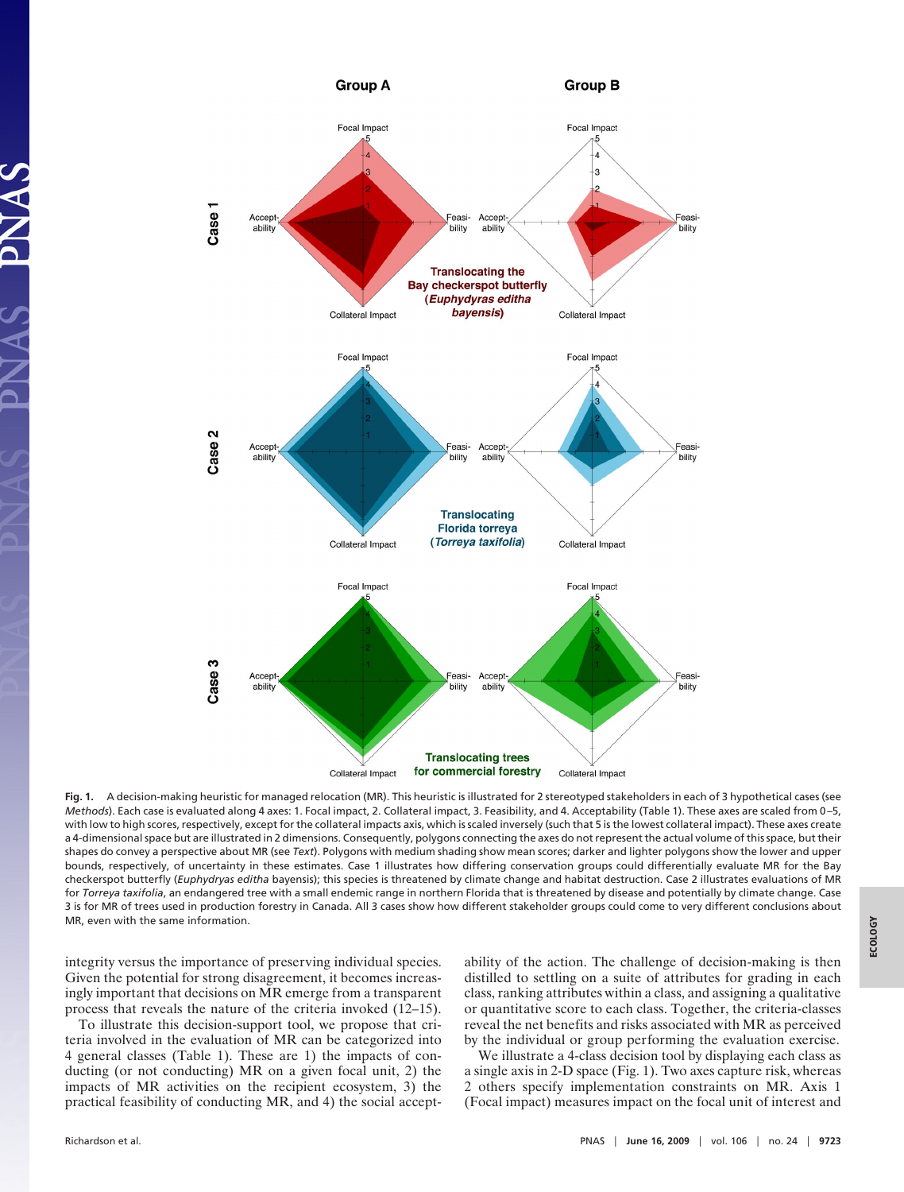

**ECOLOGY**

ECOLOGY

*Methods*). Each case is evaluated along 4 axes: 1. Focal impact, 2. Collateral impact, 3. Feasibility, and 4. Acceptability (Table 1). These axes are scaled from 0 –5, with low to high scores, respectively, except for the collateral impacts axis, which is scaled inversely (such that 5 is the lowest collateral impact). These axes create a 4-dimensional space but are illustrated in 2 dimensions. Consequently, polygons connecting the axes do not represent the actual volume of this space, but their shapes do convey a perspective about MR (see *Text*). Polygons with medium shading show mean scores; darker and lighter polygons show the lower and upper bounds, respectively, of uncertainty in these estimates. Case 1 illustrates how differing conservation groups could differentially evaluate MR for the Bay checkerspot butterfly (*Euphydryas editha* bayensis); this species is threatened by climate change and habitat destruction. Case 2 illustrates evaluations of MR for *Torreya taxifolia*, an endangered tree with a small endemic range in northern Florida that is threatened by disease and potentially by climate change. Case 3 is for MR of trees used in production forestry in Canada. All 3 cases show how different stakeholder groups could come to very different conclusions about MR, even with the same information.

integrity versus the importance of preserving individual species. Given the potential for strong disagreement, it becomes increasingly important that decisions on MR emerge from a transparent process that reveals the nature of the criteria invoked (12–15).

To illustrate this decision-support tool, we propose that criteria involved in the evaluation of MR can be categorized into 4 general classes (Table 1). These are 1) the impacts of conducting (or not conducting) MR on a given focal unit, 2) the impacts of MR activities on the recipient ecosystem, 3) the practical feasibility of conducting MR, and 4) the social acceptability of the action. The challenge of decision-making is then distilled to settling on a suite of attributes for grading in each class, ranking attributes within a class, and assigning a qualitative or quantitative score to each class. Together, the criteria-classes reveal the net benefits and risks associated with MR as perceived by the individual or group performing the evaluation exercise.

We illustrate a 4-class decision tool by displaying each class as a single axis in 2-D space (Fig. 1). Two axes capture risk, whereas 2 others specify implementation constraints on MR. Axis 1 (Focal impact) measures impact on the focal unit of interest and